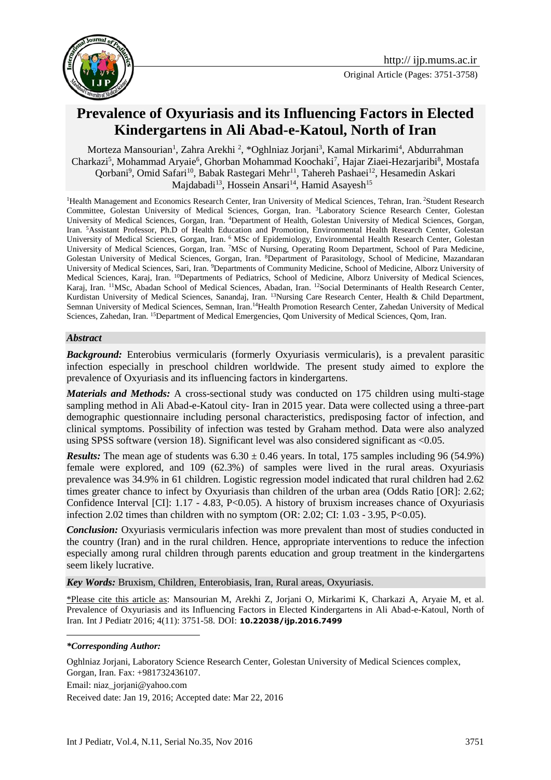

# **Prevalence of Oxyuriasis and its Influencing Factors in Elected Kindergartens in Ali Abad-e-Katoul, North of Iran**

Morteza Mansourian<sup>1</sup>, Zahra Arekhi<sup>2</sup>, \*Oghlniaz Jorjani<sup>3</sup>, Kamal Mirkarimi<sup>4</sup>, Abdurrahman Charkazi<sup>5</sup>, Mohammad Aryaie<sup>6</sup>, Ghorban Mohammad Koochaki<sup>7</sup>, Hajar Ziaei-Hezarjaribi<sup>8</sup>, Mostafa Qorbani<sup>9</sup>, Omid Safari<sup>10</sup>, Babak Rastegari Mehr<sup>11</sup>, Tahereh Pashaei<sup>12</sup>, Hesamedin Askari Majdabadi<sup>13</sup>, Hossein Ansari<sup>14</sup>, Hamid Asayesh<sup>15</sup>

<sup>1</sup>Health Management and Economics Research Center, Iran University of Medical Sciences, Tehran, Iran. <sup>2</sup>Student Research Committee, Golestan University of Medical Sciences, Gorgan, Iran. <sup>3</sup>Laboratory Science Research Center, Golestan University of Medical Sciences, Gorgan, Iran. <sup>4</sup>Department of Health, Golestan University of Medical Sciences, Gorgan, Iran. <sup>5</sup>Assistant Professor, Ph.D of Health Education and Promotion, Environmental Health Research Center, Golestan University of Medical Sciences, Gorgan, Iran. <sup>6</sup> MSc of Epidemiology, Environmental Health Research Center, Golestan University of Medical Sciences, Gorgan, Iran. <sup>7</sup>MSc of Nursing, Operating Room Department, School of Para Medicine, Golestan University of Medical Sciences, Gorgan, Iran. <sup>8</sup>Department of Parasitology, School of Medicine, Mazandaran University of Medical Sciences, Sari, Iran. <sup>9</sup>Departments of Community Medicine, School of Medicine, Alborz University of Medical Sciences, Karaj, Iran. <sup>10</sup>Departments of Pediatrics, School of Medicine, Alborz University of Medical Sciences, Karaj, Iran. <sup>11</sup>MSc, Abadan School of Medical Sciences, Abadan, Iran. <sup>12</sup>Social Determinants of Health Research Center, Kurdistan University of Medical Sciences, Sanandaj, Iran. <sup>13</sup>Nursing Care Research Center, Health & Child Department, Semnan University of Medical Sciences, Semnan, Iran.<sup>14</sup>Health Promotion Research Center, Zahedan University of Medical Sciences, Zahedan, Iran. <sup>15</sup>Department of Medical Emergencies, Qom University of Medical Sciences, Qom, Iran.

### *Abstract*

**Background:** Enterobius vermicularis (formerly Oxyuriasis vermicularis), is a prevalent parasitic infection especially in preschool children worldwide. The present study aimed to explore the prevalence of Oxyuriasis and its influencing factors in kindergartens.

*Materials and Methods:* A cross-sectional study was conducted on 175 children using multi-stage sampling method in Ali Abad-e-Katoul city- Iran in 2015 year. Data were collected using a three-part demographic questionnaire including personal characteristics, predisposing factor of infection, and clinical symptoms. Possibility of infection was tested by Graham method. Data were also analyzed using SPSS software (version 18). Significant level was also considered significant as <0.05.

*Results:* The mean age of students was  $6.30 \pm 0.46$  years. In total, 175 samples including 96 (54.9%) female were explored, and 109 (62.3%) of samples were lived in the rural areas. Oxyuriasis prevalence was 34.9% in 61 children. Logistic regression model indicated that rural children had 2.62 times greater chance to infect by Oxyuriasis than children of the urban area (Odds Ratio [OR]: 2.62; Confidence Interval  $\text{[CI]}$ : 1.17 - 4.83, P<0.05). A history of bruxism increases chance of Oxyuriasis infection 2.02 times than children with no symptom (OR: 2.02; CI: 1.03 - 3.95, P<0.05).

*Conclusion:* Oxyuriasis vermicularis infection was more prevalent than most of studies conducted in the country (Iran) and in the rural children. Hence, appropriate interventions to reduce the infection especially among rural children through parents education and group treatment in the kindergartens seem likely lucrative.

*Key Words:* Bruxism, Children, Enterobiasis, Iran, Rural areas, Oxyuriasis.

\*Please cite this article as: Mansourian M, Arekhi Z, Jorjani O, Mirkarimi K, Charkazi A, Aryaie M, et al. Prevalence of Oxyuriasis and its Influencing Factors in Elected Kindergartens in Ali Abad-e-Katoul, North of Iran. Int J Pediatr 2016; 4(11): 3751-58. DOI: **10.22038/ijp.2016.7499**

1

Oghlniaz Jorjani, Laboratory Science Research Center, Golestan University of Medical Sciences complex, Gorgan, Iran. Fax: +981732436107. Email: [niaz\\_jorjani@yahoo.com](mailto:niaz_jorjani@yahoo.com) Received date: Jan 19, 2016; Accepted date: Mar 22, 2016

*<sup>\*</sup>Corresponding Author:*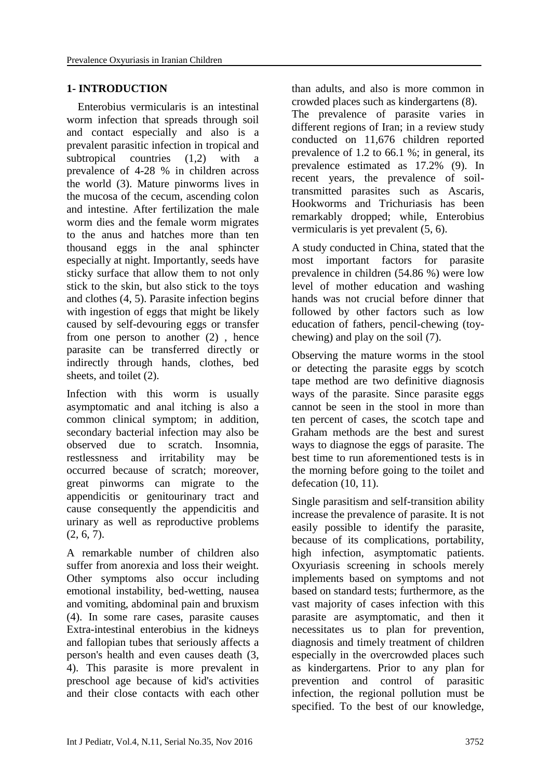# **1- INTRODUCTION**

 Enterobius vermicularis is an intestinal worm infection that spreads through soil and contact especially and also is a prevalent parasitic infection in tropical and subtropical countries (1,2) with a prevalence of 4-28 % in children across the world (3). Mature pinworms lives in the mucosa of the cecum, ascending colon and intestine. After fertilization the male worm dies and the female worm migrates to the anus and hatches more than ten thousand eggs in the anal sphincter especially at night. Importantly, seeds have sticky surface that allow them to not only stick to the skin, but also stick to the toys and clothes (4, 5). Parasite infection begins with ingestion of eggs that might be likely caused by self-devouring eggs or transfer from one person to another (2) , hence parasite can be transferred directly or indirectly through hands, clothes, bed sheets, and toilet (2).

Infection with this worm is usually asymptomatic and anal itching is also a common clinical symptom; in addition, secondary bacterial infection may also be observed due to scratch. Insomnia, restlessness and irritability may be occurred because of scratch; moreover, great pinworms can migrate to the appendicitis or genitourinary tract and cause consequently the appendicitis and urinary as well as reproductive problems  $(2, 6, 7)$ .

A remarkable number of children also suffer from anorexia and loss their weight. Other symptoms also occur including emotional instability, bed-wetting, nausea and vomiting, abdominal pain and bruxism (4). In some rare cases, parasite causes Extra-intestinal enterobius in the kidneys and fallopian tubes that seriously affects a person's health and even causes death (3, 4). This parasite is more prevalent in preschool age because of kid's activities and their close contacts with each other

than adults, and also is more common in crowded places such as kindergartens (8). The prevalence of parasite varies in different regions of Iran; in a review study conducted on 11,676 children reported prevalence of 1.2 to 66.1 %; in general, its prevalence estimated as 17.2% (9). In recent years, the prevalence of soiltransmitted parasites such as Ascaris, Hookworms and Trichuriasis has been remarkably dropped; while, Enterobius vermicularis is yet prevalent (5, 6).

A study conducted in China, stated that the most important factors for parasite prevalence in children (54.86 %) were low level of mother education and washing hands was not crucial before dinner that followed by other factors such as low education of fathers, pencil-chewing (toychewing) and play on the soil (7).

Observing the mature worms in the stool or detecting the parasite eggs by scotch tape method are two definitive diagnosis ways of the parasite. Since parasite eggs cannot be seen in the stool in more than ten percent of cases, the scotch tape and Graham methods are the best and surest ways to diagnose the eggs of parasite. The best time to run aforementioned tests is in the morning before going to the toilet and defecation (10, 11).

Single parasitism and self-transition ability increase the prevalence of parasite. It is not easily possible to identify the parasite, because of its complications, portability, high infection, asymptomatic patients. Oxyuriasis screening in schools merely implements based on symptoms and not based on standard tests; furthermore, as the vast majority of cases infection with this parasite are asymptomatic, and then it necessitates us to plan for prevention, diagnosis and timely treatment of children especially in the overcrowded places such as kindergartens. Prior to any plan for prevention and control of parasitic infection, the regional pollution must be specified. To the best of our knowledge,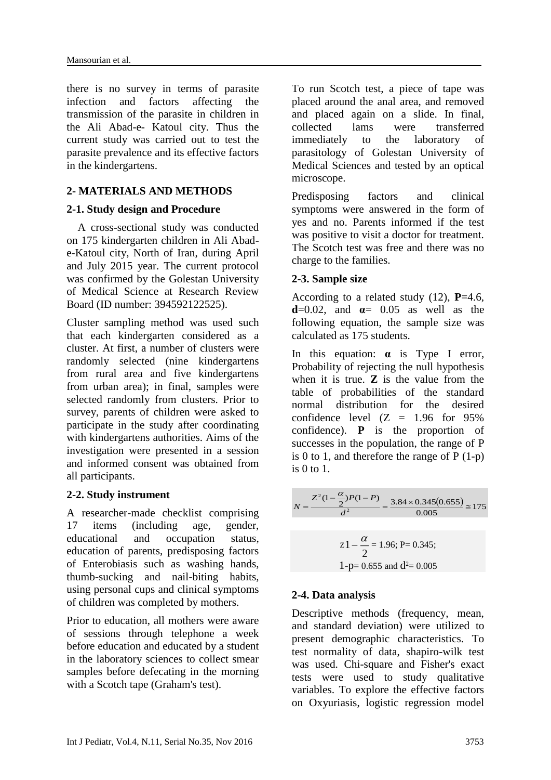there is no survey in terms of parasite infection and factors affecting the transmission of the parasite in children in the Ali Abad-e- Katoul city. Thus the current study was carried out to test the parasite prevalence and its effective factors in the kindergartens.

## **2- MATERIALS AND METHODS**

### **2-1. Study design and Procedure**

 A cross-sectional study was conducted on 175 kindergarten children in Ali Abade-Katoul city, North of Iran, during April and July 2015 year. The current protocol was confirmed by the Golestan University of Medical Science at Research Review Board (ID number: 394592122525).

Cluster sampling method was used such that each kindergarten considered as a cluster. At first, a number of clusters were randomly selected (nine kindergartens from rural area and five kindergartens from urban area); in final, samples were selected randomly from clusters. Prior to survey, parents of children were asked to participate in the study after coordinating with kindergartens authorities. Aims of the investigation were presented in a session and informed consent was obtained from all participants.

### **2-2. Study instrument**

A researcher-made checklist comprising 17 items (including age, gender, educational and occupation status, education of parents, predisposing factors of Enterobiasis such as washing hands, thumb-sucking and nail-biting habits, using personal cups and clinical symptoms of children was completed by mothers.

Prior to education, all mothers were aware of sessions through telephone a week before education and educated by a student in the laboratory sciences to collect smear samples before defecating in the morning with a Scotch tape (Graham's test).

To run Scotch test, a piece of tape was placed around the anal area, and removed and placed again on a slide. In final, collected lams were transferred immediately to the laboratory of parasitology of Golestan University of Medical Sciences and tested by an optical microscope.

Predisposing factors and clinical symptoms were answered in the form of yes and no. Parents informed if the test was positive to visit a doctor for treatment. The Scotch test was free and there was no charge to the families.

### **2-3. Sample size**

According to a related study (12), **P**=4.6, **d**=0.02, and  $\alpha$ = 0.05 as well as the following equation, the sample size was calculated as 175 students.

In this equation: **α** is Type I error, Probability of rejecting the null hypothesis when it is true. **Z** is the value from the table of probabilities of the standard normal distribution for the desired confidence level  $(Z = 1.96$  for  $95\%$ confidence). **P** is the proportion of successes in the population, the range of P is 0 to 1, and therefore the range of  $P(1-p)$ is  $0 \text{ to } 1$ .

$$
N = \frac{Z^{2}(1 - \frac{\alpha}{2})P(1 - P)}{d^{2}} = \frac{3.84 \times 0.345(0.655)}{0.005} \approx 175
$$

$$
z1 - \frac{\alpha}{2} = 1.96
$$
; P= 0.345;  
1-p= 0.655 and d<sup>2</sup>= 0.005

### **2-4. Data analysis**

Descriptive methods (frequency, mean, and standard deviation) were utilized to present demographic characteristics. To test normality of data, shapiro-wilk test was used. Chi-square and Fisher's exact tests were used to study qualitative variables. To explore the effective factors on Oxyuriasis, logistic regression model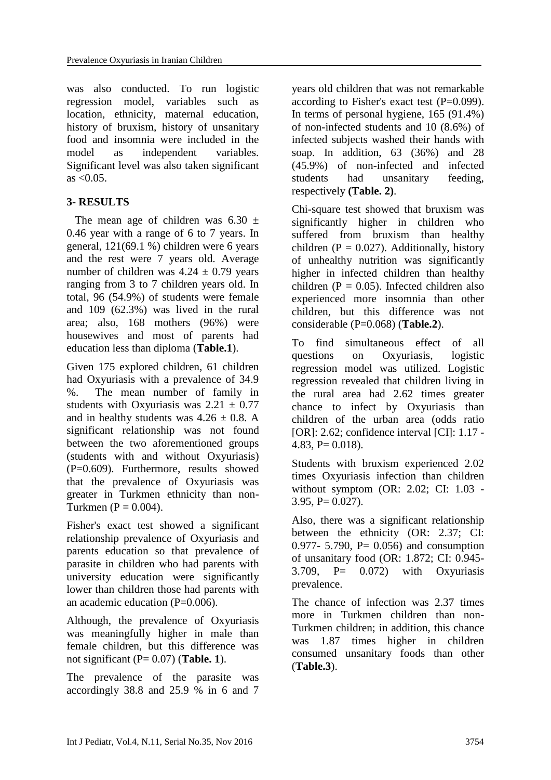was also conducted. To run logistic regression model, variables such as location, ethnicity, maternal education, history of bruxism, history of unsanitary food and insomnia were included in the model as independent variables. Significant level was also taken significant  $as < 0.05$ .

# **3- RESULTS**

The mean age of children was  $6.30 \pm$ 0.46 year with a range of 6 to 7 years. In general, 121(69.1 %) children were 6 years and the rest were 7 years old. Average number of children was  $4.24 \pm 0.79$  years ranging from 3 to 7 children years old. In total, 96 (54.9%) of students were female and 109 (62.3%) was lived in the rural area; also, 168 mothers (96%) were housewives and most of parents had education less than diploma (**Table.1**).

Given 175 explored children, 61 children had Oxyuriasis with a prevalence of 34.9 %. The mean number of family in students with Oxyuriasis was  $2.21 \pm 0.77$ and in healthy students was  $4.26 \pm 0.8$ . A significant relationship was not found between the two aforementioned groups (students with and without Oxyuriasis) (P=0.609). Furthermore, results showed that the prevalence of Oxyuriasis was greater in Turkmen ethnicity than non-Turkmen ( $P = 0.004$ ).

Fisher's exact test showed a significant relationship prevalence of Oxyuriasis and parents education so that prevalence of parasite in children who had parents with university education were significantly lower than children those had parents with an academic education (P=0.006).

Although, the prevalence of Oxyuriasis was meaningfully higher in male than female children, but this difference was not significant (P= 0.07) (**Table. 1**).

The prevalence of the parasite was accordingly 38.8 and 25.9 % in 6 and 7

years old children that was not remarkable according to Fisher's exact test  $(P=0.099)$ . In terms of personal hygiene, 165 (91.4%) of non-infected students and 10 (8.6%) of infected subjects washed their hands with soap. In addition, 63 (36%) and 28 (45.9%) of non-infected and infected students had unsanitary feeding, respectively **(Table. 2)**.

Chi-square test showed that bruxism was significantly higher in children who suffered from bruxism than healthy children ( $P = 0.027$ ). Additionally, history of unhealthy nutrition was significantly higher in infected children than healthy children ( $P = 0.05$ ). Infected children also experienced more insomnia than other children, but this difference was not considerable (P=0.068) (**Table.2**).

To find simultaneous effect of all questions on Oxyuriasis, logistic regression model was utilized. Logistic regression revealed that children living in the rural area had 2.62 times greater chance to infect by Oxyuriasis than children of the urban area (odds ratio [OR]: 2.62; confidence interval [CI]: 1.17 -4.83,  $P = 0.018$ .

Students with bruxism experienced 2.02 times Oxyuriasis infection than children without symptom (OR: 2.02; CI: 1.03 -  $3.95, P= 0.027$ ).

Also, there was a significant relationship between the ethnicity (OR: 2.37; CI: 0.977- 5.790, P= 0.056) and consumption of unsanitary food (OR: 1.872; CI: 0.945- 3.709, P= 0.072) with Oxyuriasis prevalence.

The chance of infection was 2.37 times more in Turkmen children than non-Turkmen children; in addition, this chance was 1.87 times higher in children consumed unsanitary foods than other (**Table.3**).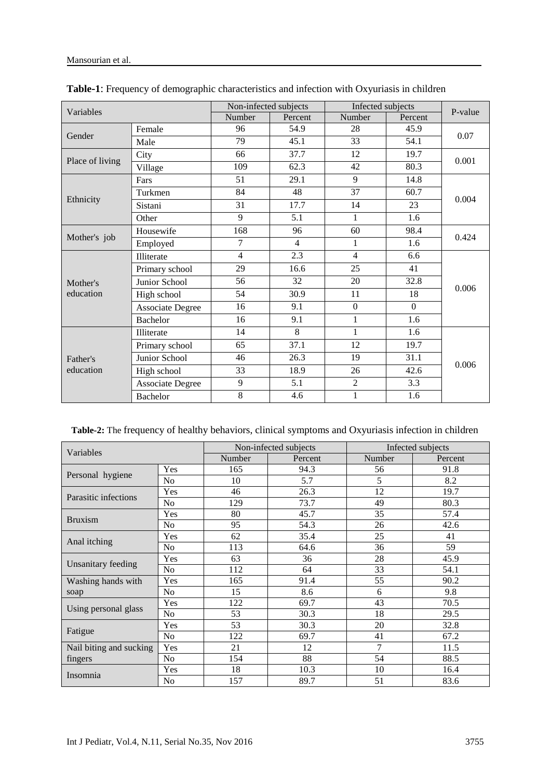| Variables             |                         | Non-infected subjects |                | Infected subjects |              | P-value |  |
|-----------------------|-------------------------|-----------------------|----------------|-------------------|--------------|---------|--|
|                       |                         | Number                | Percent        | Number            | Percent      |         |  |
| Gender                | Female                  | 96                    | 54.9           | 28                | 45.9         | 0.07    |  |
|                       | Male                    | 79                    | 45.1           | 33                | 54.1         |         |  |
| Place of living       | City                    | 66                    | 37.7           | 12                | 19.7         | 0.001   |  |
|                       | Village                 | 109                   | 62.3           | 42                | 80.3         |         |  |
| Ethnicity             | Fars                    | 51                    | 29.1           | 9                 | 14.8         |         |  |
|                       | Turkmen                 | 84                    | 48             | 37                | 60.7         | 0.004   |  |
|                       | Sistani                 | 31                    | 17.7           | 14                | 23           |         |  |
|                       | Other                   | 9                     | 5.1            | $\mathbf{1}$      | 1.6          |         |  |
| Mother's job          | Housewife               | 168                   | 96             | 60                | 98.4         |         |  |
|                       | Employed                | 7                     | $\overline{4}$ | 1                 | 1.6          | 0.424   |  |
|                       | <b>Illiterate</b>       | $\overline{4}$        | 2.3            | 4                 | 6.6          |         |  |
|                       | Primary school          | 29                    | 16.6           | 25                | 41           | 0.006   |  |
| Mother's              | Junior School           | 56                    | 32             | 20                | 32.8         |         |  |
| education             | High school             | 54                    | 30.9           | 11                | 18           |         |  |
|                       | <b>Associate Degree</b> | 16                    | 9.1            | $\overline{0}$    | $\mathbf{0}$ |         |  |
|                       | <b>Bachelor</b>         | 16                    | 9.1            | 1                 | 1.6          |         |  |
| Father's<br>education | Illiterate              | 14                    | 8              | 1                 | 1.6          |         |  |
|                       | Primary school          | 65                    | 37.1           | 12                | 19.7         |         |  |
|                       | Junior School           | 46                    | 26.3           | 19                | 31.1         | 0.006   |  |
|                       | High school             | 33                    | 18.9           | 26                | 42.6         |         |  |
|                       | <b>Associate Degree</b> | 9                     | 5.1            | $\overline{2}$    | 3.3          |         |  |
|                       | <b>Bachelor</b>         | 8                     | 4.6            | $\mathbf{1}$      | 1.6          |         |  |

| Table-1: Frequency of demographic characteristics and infection with Oxyuriasis in children |  |
|---------------------------------------------------------------------------------------------|--|
|---------------------------------------------------------------------------------------------|--|

# **Table-2:** The frequency of healthy behaviors, clinical symptoms and Oxyuriasis infection in children

| Variables               |                | Non-infected subjects |         | Infected subjects |         |  |
|-------------------------|----------------|-----------------------|---------|-------------------|---------|--|
|                         |                | Number                | Percent | Number            | Percent |  |
|                         | Yes            | 165                   | 94.3    | 56                | 91.8    |  |
| Personal hygiene        | N <sub>o</sub> | 10                    | 5.7     | 5                 | 8.2     |  |
| Parasitic infections    | Yes            | 46                    | 26.3    | 12                | 19.7    |  |
|                         | N <sub>0</sub> | 129                   | 73.7    | 49                | 80.3    |  |
| <b>Bruxism</b>          | Yes            | 80                    | 45.7    | 35                | 57.4    |  |
|                         | N <sub>0</sub> | 95                    | 54.3    | 26                | 42.6    |  |
|                         | Yes            | 62                    | 35.4    | 25                | 41      |  |
| Anal itching            | No             | 113                   | 64.6    | 36                | 59      |  |
| Unsanitary feeding      | Yes            | 63                    | 36      | 28                | 45.9    |  |
|                         | N <sub>o</sub> | 112                   | 64      | 33                | 54.1    |  |
| Washing hands with      | Yes            | 165                   | 91.4    | 55                | 90.2    |  |
| soap                    | N <sub>0</sub> | 15                    | 8.6     | 6                 | 9.8     |  |
|                         | Yes            | 122                   | 69.7    | 43                | 70.5    |  |
| Using personal glass    | N <sub>0</sub> | 53                    | 30.3    | 18                | 29.5    |  |
| Fatigue                 | Yes            | 53                    | 30.3    | 20                | 32.8    |  |
|                         | N <sub>0</sub> | 122                   | 69.7    | 41                | 67.2    |  |
| Nail biting and sucking | Yes            | 21                    | 12      | $\overline{7}$    | 11.5    |  |
| fingers                 | N <sub>o</sub> | 154                   | 88      | 54                | 88.5    |  |
| Insomnia                | Yes            | 18                    | 10.3    | 10                | 16.4    |  |
|                         | N <sub>o</sub> | 157                   | 89.7    | 51                | 83.6    |  |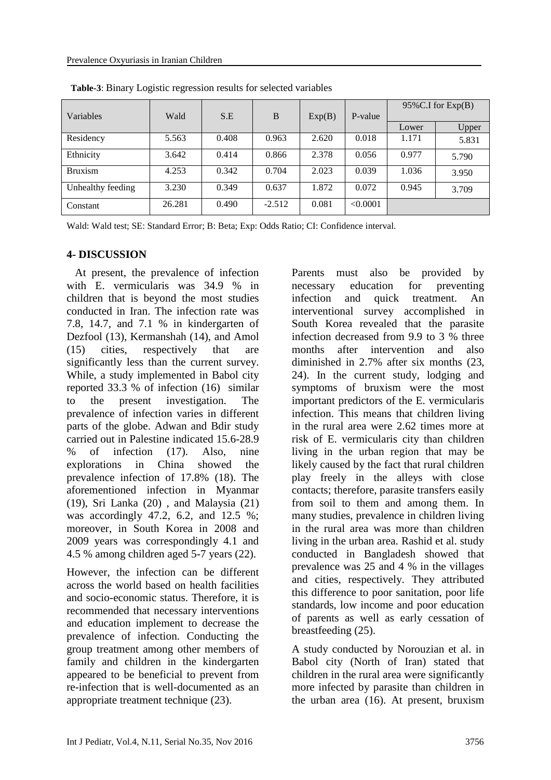| Variables         | Wald   | S.E   | B        | Exp(B) | P-value  | $95\%$ C.I for Exp $(B)$ |       |
|-------------------|--------|-------|----------|--------|----------|--------------------------|-------|
|                   |        |       |          |        |          | Lower                    | Upper |
| Residency         | 5.563  | 0.408 | 0.963    | 2.620  | 0.018    | 1.171                    | 5.831 |
| Ethnicity         | 3.642  | 0.414 | 0.866    | 2.378  | 0.056    | 0.977                    | 5.790 |
| <b>Bruxism</b>    | 4.253  | 0.342 | 0.704    | 2.023  | 0.039    | 1.036                    | 3.950 |
| Unhealthy feeding | 3.230  | 0.349 | 0.637    | 1.872  | 0.072    | 0.945                    | 3.709 |
| Constant          | 26.281 | 0.490 | $-2.512$ | 0.081  | < 0.0001 |                          |       |

**Table-3**: Binary Logistic regression results for selected variables

Wald: Wald test; SE: Standard Error; B: Beta; Exp: Odds Ratio; CI: Confidence interval.

### **4- DISCUSSION**

 At present, the prevalence of infection with E. vermicularis was 34.9 % in children that is beyond the most studies conducted in Iran. The infection rate was 7.8, 14.7, and 7.1 % in kindergarten of Dezfool (13), Kermanshah (14), and Amol (15) cities, respectively that are significantly less than the current survey. While, a study implemented in Babol city reported 33.3 % of infection (16) similar to the present investigation. The prevalence of infection varies in different parts of the globe. Adwan and Bdir study carried out in Palestine indicated 15.6-28.9 % of infection (17). Also, nine explorations in China showed the prevalence infection of 17.8% (18). The aforementioned infection in Myanmar (19), Sri Lanka (20) , and Malaysia (21) was accordingly 47.2, 6.2, and 12.5 %; moreover, in South Korea in 2008 and 2009 years was correspondingly 4.1 and 4.5 % among children aged 5-7 years (22).

However, the infection can be different across the world based on health facilities and socio-economic status. Therefore, it is recommended that necessary interventions and education implement to decrease the prevalence of infection. Conducting the group treatment among other members of family and children in the kindergarten appeared to be beneficial to prevent from re-infection that is well-documented as an appropriate treatment technique (23).

Parents must also be provided by necessary education for preventing infection and quick treatment. An interventional survey accomplished in South Korea revealed that the parasite infection decreased from 9.9 to 3 % three months after intervention and also diminished in 2.7% after six months (23, 24). In the current study, lodging and symptoms of bruxism were the most important predictors of the E. vermicularis infection. This means that children living in the rural area were 2.62 times more at risk of E. vermicularis city than children living in the urban region that may be likely caused by the fact that rural children play freely in the alleys with close contacts; therefore, parasite transfers easily from soil to them and among them. In many studies, prevalence in children living in the rural area was more than children living in the urban area. Rashid et al. study conducted in Bangladesh showed that prevalence was 25 and 4 % in the villages and cities, respectively. They attributed this difference to poor sanitation, poor life standards, low income and poor education of parents as well as early cessation of breastfeeding (25).

A study conducted by Norouzian et al. in Babol city (North of Iran) stated that children in the rural area were significantly more infected by parasite than children in the urban area (16). At present, bruxism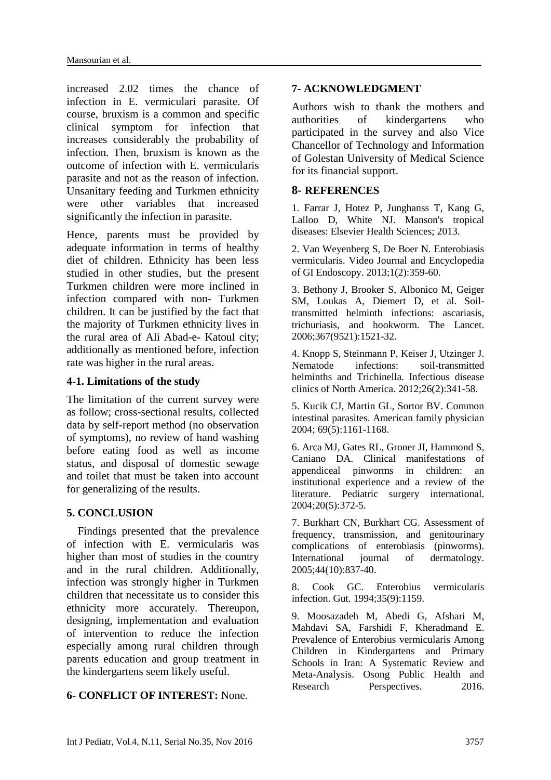increased 2.02 times the chance of infection in E. vermiculari parasite. Of course, bruxism is a common and specific clinical symptom for infection that increases considerably the probability of infection. Then, bruxism is known as the outcome of infection with E. vermicularis parasite and not as the reason of infection. Unsanitary feeding and Turkmen ethnicity were other variables that increased significantly the infection in parasite.

Hence, parents must be provided by adequate information in terms of healthy diet of children. Ethnicity has been less studied in other studies, but the present Turkmen children were more inclined in infection compared with non- Turkmen children. It can be justified by the fact that the majority of Turkmen ethnicity lives in the rural area of Ali Abad-e- Katoul city; additionally as mentioned before, infection rate was higher in the rural areas.

# **4-1. Limitations of the study**

The limitation of the current survey were as follow; cross-sectional results, collected data by self-report method (no observation of symptoms), no review of hand washing before eating food as well as income status, and disposal of domestic sewage and toilet that must be taken into account for generalizing of the results.

# **5. CONCLUSION**

 Findings presented that the prevalence of infection with E. vermicularis was higher than most of studies in the country and in the rural children. Additionally, infection was strongly higher in Turkmen children that necessitate us to consider this ethnicity more accurately. Thereupon, designing, implementation and evaluation of intervention to reduce the infection especially among rural children through parents education and group treatment in the kindergartens seem likely useful.

# **6- CONFLICT OF INTEREST:** None.

# **7- ACKNOWLEDGMENT**

Authors wish to thank the mothers and authorities of kindergartens who participated in the survey and also Vice Chancellor of Technology and Information of Golestan University of Medical Science for its financial support.

# **8- REFERENCES**

1. Farrar J, Hotez P, Junghanss T, Kang G, Lalloo D, White NJ. Manson's tropical diseases: Elsevier Health Sciences; 2013.

2. Van Weyenberg S, De Boer N. Enterobiasis vermicularis. Video Journal and Encyclopedia of GI Endoscopy. 2013;1(2):359-60.

3. Bethony J, Brooker S, Albonico M, Geiger SM, Loukas A, Diemert D, et al. Soiltransmitted helminth infections: ascariasis, trichuriasis, and hookworm. The Lancet. 2006;367(9521):1521-32.

4. Knopp S, Steinmann P, Keiser J, Utzinger J. Nematode infections: soil-transmitted helminths and Trichinella. Infectious disease clinics of North America. 2012;26(2):341-58.

5. Kucik CJ, Martin GL, Sortor BV. Common intestinal parasites. American family physician 2004; 69(5):1161-1168.

6. Arca MJ, Gates RL, Groner JI, Hammond S, Caniano DA. Clinical manifestations of appendiceal pinworms in children: an institutional experience and a review of the literature. Pediatric surgery international. 2004;20(5):372-5.

7. Burkhart CN, Burkhart CG. Assessment of frequency, transmission, and genitourinary complications of enterobiasis (pinworms). International journal of dermatology. 2005;44(10):837-40.

8. Cook GC. Enterobius vermicularis infection. Gut. 1994;35(9):1159.

9. Moosazadeh M, Abedi G, Afshari M, Mahdavi SA, Farshidi F, Kheradmand E. Prevalence of Enterobius vermicularis Among Children in Kindergartens and Primary Schools in Iran: A Systematic Review and Meta-Analysis. Osong Public Health and Research Perspectives. 2016.